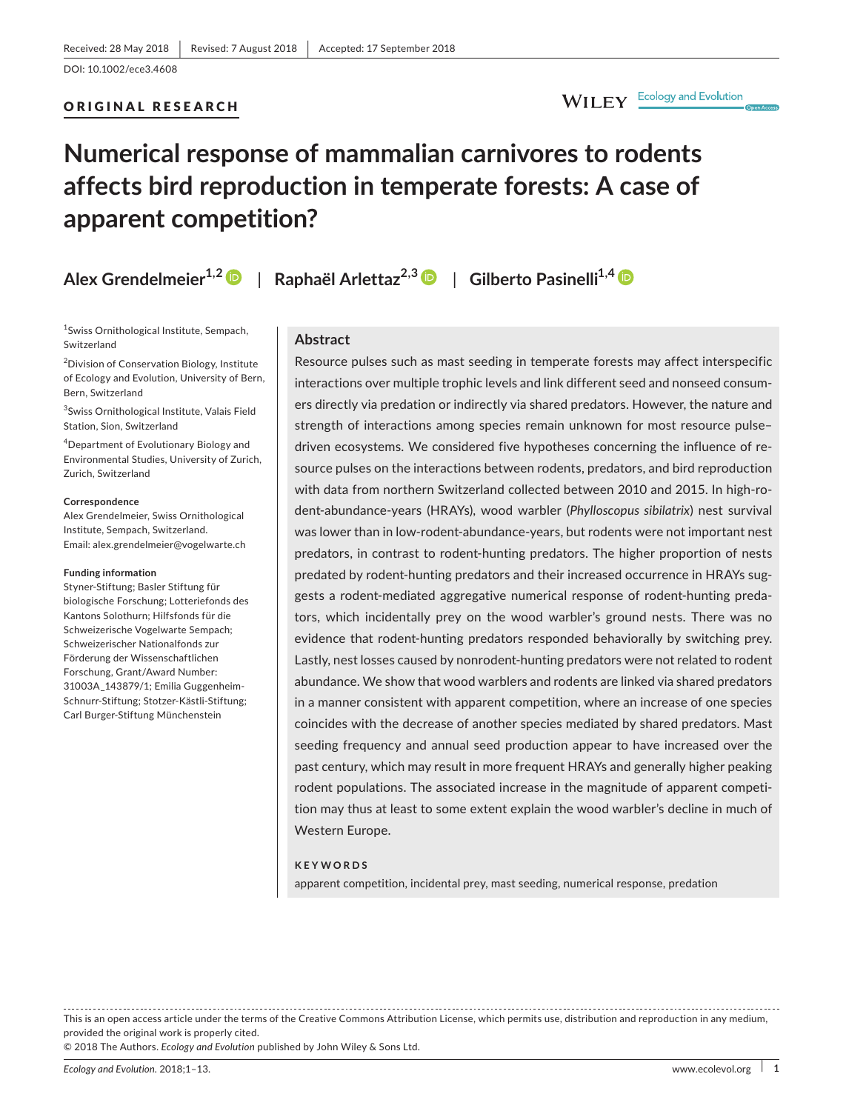### ORIGINAL RESEARCH

# WILEY Ecology and Evolution

# **Numerical response of mammalian carnivores to rodents affects bird reproduction in temperate forests: A case of apparent competition?**

|  | Alex Grendelmeier <sup>1,2</sup> |  |
|--|----------------------------------|--|
|--|----------------------------------|--|

**Algeburg Arlettaz**<sup>2,[3](https://orcid.org/0000-0001-6360-5339)</sup>  $\bullet$  | Gilberto Pasinelli<sup>1,4</sup>  $\bullet$ 

1 Swiss Ornithological Institute, Sempach, Switzerland

2 Division of Conservation Biology, Institute of Ecology and Evolution, University of Bern, Bern, Switzerland

3 Swiss Ornithological Institute, Valais Field Station, Sion, Switzerland

4 Department of Evolutionary Biology and Environmental Studies, University of Zurich, Zurich, Switzerland

#### **Correspondence**

Alex Grendelmeier, Swiss Ornithological Institute, Sempach, Switzerland. Email: [alex.grendelmeier@vogelwarte.ch](mailto:alex.grendelmeier@vogelwarte.ch)

#### **Funding information**

Styner‐Stiftung; Basler Stiftung für biologische Forschung; Lotteriefonds des Kantons Solothurn; Hilfsfonds für die Schweizerische Vogelwarte Sempach; Schweizerischer Nationalfonds zur Förderung der Wissenschaftlichen Forschung, Grant/Award Number: 31003A\_143879/1; Emilia Guggenheim‐ Schnurr‐Stiftung; Stotzer‐Kästli‐Stiftung; Carl Burger‐Stiftung Münchenstein

### **Abstract**

Resource pulses such as mast seeding in temperate forests may affect interspecific interactions over multiple trophic levels and link different seed and nonseed consum‐ ers directly via predation or indirectly via shared predators. However, the nature and strength of interactions among species remain unknown for most resource pulse– driven ecosystems. We considered five hypotheses concerning the influence of re‐ source pulses on the interactions between rodents, predators, and bird reproduction with data from northern Switzerland collected between 2010 and 2015. In high-rodent‐abundance‐years (HRAYs), wood warbler (*Phylloscopus sibilatrix*) nest survival was lower than in low-rodent-abundance-years, but rodents were not important nest predators, in contrast to rodent‐hunting predators. The higher proportion of nests predated by rodent-hunting predators and their increased occurrence in HRAYs suggests a rodent‐mediated aggregative numerical response of rodent‐hunting preda‐ tors, which incidentally prey on the wood warbler's ground nests. There was no evidence that rodent-hunting predators responded behaviorally by switching prey. Lastly, nest losses caused by nonrodent‐hunting predators were not related to rodent abundance. We show that wood warblers and rodents are linked via shared predators in a manner consistent with apparent competition, where an increase of one species coincides with the decrease of another species mediated by shared predators. Mast seeding frequency and annual seed production appear to have increased over the past century, which may result in more frequent HRAYs and generally higher peaking rodent populations. The associated increase in the magnitude of apparent competition may thus at least to some extent explain the wood warbler's decline in much of Western Europe.

#### **KEYWORDS**

apparent competition, incidental prey, mast seeding, numerical response, predation

This is an open access article under the terms of the Creative Commons [Attribution](http://creativecommons.org/licenses/by/4.0/) License, which permits use, distribution and reproduction in any medium, provided the original work is properly cited. © 2018 The Authors. *Ecology and Evolution* published by John Wiley & Sons Ltd.

*Ecology and Evolution.* 2018;1–13. <www.ecolevol.org> | **1**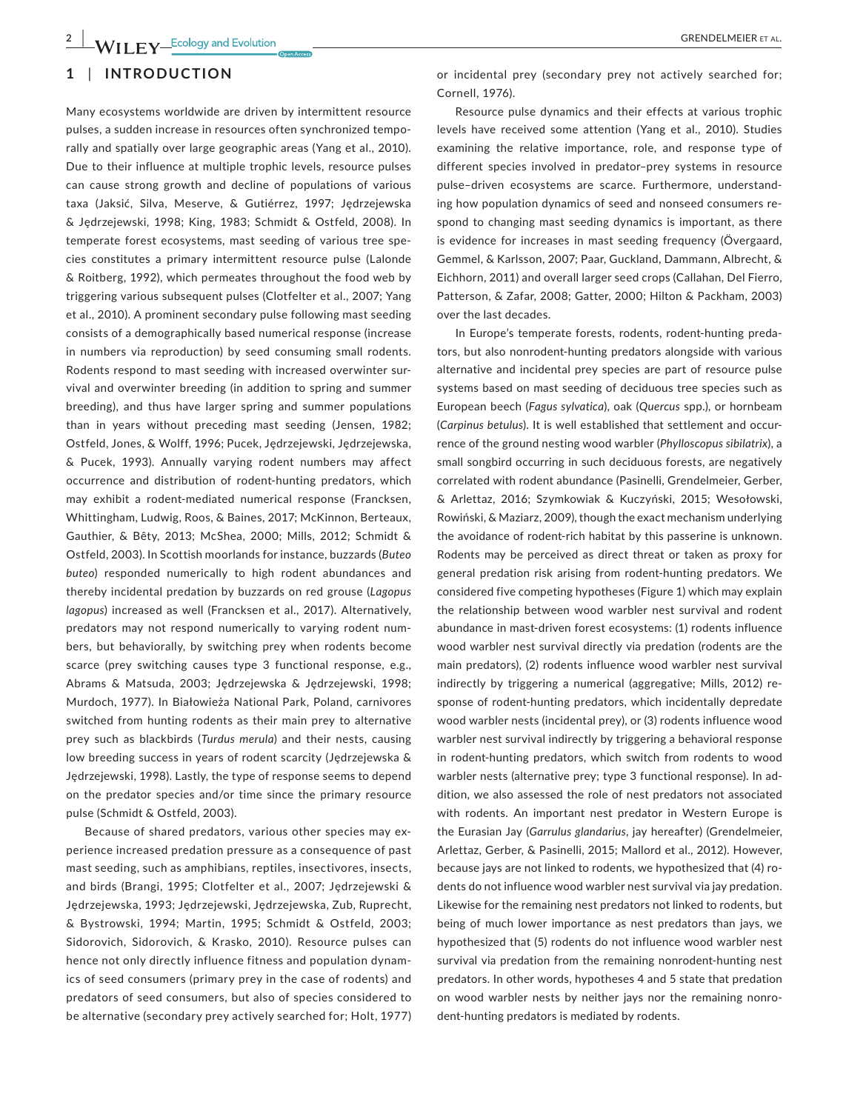# **1** | **INTRODUCTION**

Many ecosystems worldwide are driven by intermittent resource pulses, a sudden increase in resources often synchronized tempo‐ rally and spatially over large geographic areas (Yang et al., 2010). Due to their influence at multiple trophic levels, resource pulses can cause strong growth and decline of populations of various taxa (Jaksić, Silva, Meserve, & Gutiérrez, 1997; Jedrzejewska & Jȩdrzejewski, 1998; King, 1983; Schmidt & Ostfeld, 2008). In temperate forest ecosystems, mast seeding of various tree spe‐ cies constitutes a primary intermittent resource pulse (Lalonde & Roitberg, 1992), which permeates throughout the food web by triggering various subsequent pulses (Clotfelter et al., 2007; Yang et al., 2010). A prominent secondary pulse following mast seeding consists of a demographically based numerical response (increase in numbers via reproduction) by seed consuming small rodents. Rodents respond to mast seeding with increased overwinter sur‐ vival and overwinter breeding (in addition to spring and summer breeding), and thus have larger spring and summer populations than in years without preceding mast seeding (Jensen, 1982; Ostfeld, Jones, & Wolff, 1996; Pucek, Jędrzejewski, Jędrzejewska, & Pucek, 1993). Annually varying rodent numbers may affect occurrence and distribution of rodent‐hunting predators, which may exhibit a rodent‐mediated numerical response (Francksen, Whittingham, Ludwig, Roos, & Baines, 2017; McKinnon, Berteaux, Gauthier, & Bêty, 2013; McShea, 2000; Mills, 2012; Schmidt & Ostfeld, 2003). In Scottish moorlands for instance, buzzards (*Buteo buteo*) responded numerically to high rodent abundances and thereby incidental predation by buzzards on red grouse (*Lagopus lagopus*) increased as well (Francksen et al., 2017). Alternatively, predators may not respond numerically to varying rodent num‐ bers, but behaviorally, by switching prey when rodents become scarce (prey switching causes type 3 functional response, e.g., Abrams & Matsuda, 2003; Jȩdrzejewska & Jȩdrzejewski, 1998; Murdoch, 1977). In Białowieża National Park, Poland, carnivores switched from hunting rodents as their main prey to alternative prey such as blackbirds (*Turdus merula*) and their nests, causing low breeding success in years of rodent scarcity (Jędrzejewska & Jędrzejewski, 1998). Lastly, the type of response seems to depend on the predator species and/or time since the primary resource pulse (Schmidt & Ostfeld, 2003).

Because of shared predators, various other species may ex‐ perience increased predation pressure as a consequence of past mast seeding, such as amphibians, reptiles, insectivores, insects, and birds (Brangi, 1995; Clotfelter et al., 2007; Jędrzejewski & Jędrzejewska, 1993; Jędrzejewski, Jędrzejewska, Zub, Ruprecht, & Bystrowski, 1994; Martin, 1995; Schmidt & Ostfeld, 2003; Sidorovich, Sidorovich, & Krasko, 2010). Resource pulses can hence not only directly influence fitness and population dynam‐ ics of seed consumers (primary prey in the case of rodents) and predators of seed consumers, but also of species considered to be alternative (secondary prey actively searched for; Holt, 1977) or incidental prey (secondary prey not actively searched for; Cornell, 1976).

Resource pulse dynamics and their effects at various trophic levels have received some attention (Yang et al., 2010). Studies examining the relative importance, role, and response type of different species involved in predator–prey systems in resource pulse–driven ecosystems are scarce. Furthermore, understand‐ ing how population dynamics of seed and nonseed consumers re‐ spond to changing mast seeding dynamics is important, as there is evidence for increases in mast seeding frequency (Övergaard, Gemmel, & Karlsson, 2007; Paar, Guckland, Dammann, Albrecht, & Eichhorn, 2011) and overall larger seed crops (Callahan, Del Fierro, Patterson, & Zafar, 2008; Gatter, 2000; Hilton & Packham, 2003) over the last decades.

In Europe's temperate forests, rodents, rodent-hunting predators, but also nonrodent‐hunting predators alongside with various alternative and incidental prey species are part of resource pulse systems based on mast seeding of deciduous tree species such as European beech (*Fagus sylvatica*), oak (*Quercus* spp.), or hornbeam (*Carpinus betulus*). It is well established that settlement and occur‐ rence of the ground nesting wood warbler (*Phylloscopus sibilatrix*), a small songbird occurring in such deciduous forests, are negatively correlated with rodent abundance (Pasinelli, Grendelmeier, Gerber, & Arlettaz, 2016; Szymkowiak & Kuczyński, 2015; Wesołowski, Rowiński, & Maziarz, 2009), though the exact mechanism underlying the avoidance of rodent‐rich habitat by this passerine is unknown. Rodents may be perceived as direct threat or taken as proxy for general predation risk arising from rodent‐hunting predators. We considered five competing hypotheses (Figure 1) which may explain the relationship between wood warbler nest survival and rodent abundance in mast‐driven forest ecosystems: (1) rodents influence wood warbler nest survival directly via predation (rodents are the main predators), (2) rodents influence wood warbler nest survival indirectly by triggering a numerical (aggregative; Mills, 2012) re‐ sponse of rodent-hunting predators, which incidentally depredate wood warbler nests (incidental prey), or (3) rodents influence wood warbler nest survival indirectly by triggering a behavioral response in rodent-hunting predators, which switch from rodents to wood warbler nests (alternative prey; type 3 functional response). In ad‐ dition, we also assessed the role of nest predators not associated with rodents. An important nest predator in Western Europe is the Eurasian Jay (*Garrulus glandarius*, jay hereafter) (Grendelmeier, Arlettaz, Gerber, & Pasinelli, 2015; Mallord et al., 2012). However, because jays are not linked to rodents, we hypothesized that (4) ro‐ dents do not influence wood warbler nest survival via jay predation. Likewise for the remaining nest predators not linked to rodents, but being of much lower importance as nest predators than jays, we hypothesized that (5) rodents do not influence wood warbler nest survival via predation from the remaining nonrodent‐hunting nest predators. In other words, hypotheses 4 and 5 state that predation on wood warbler nests by neither jays nor the remaining nonro‐ dent-hunting predators is mediated by rodents.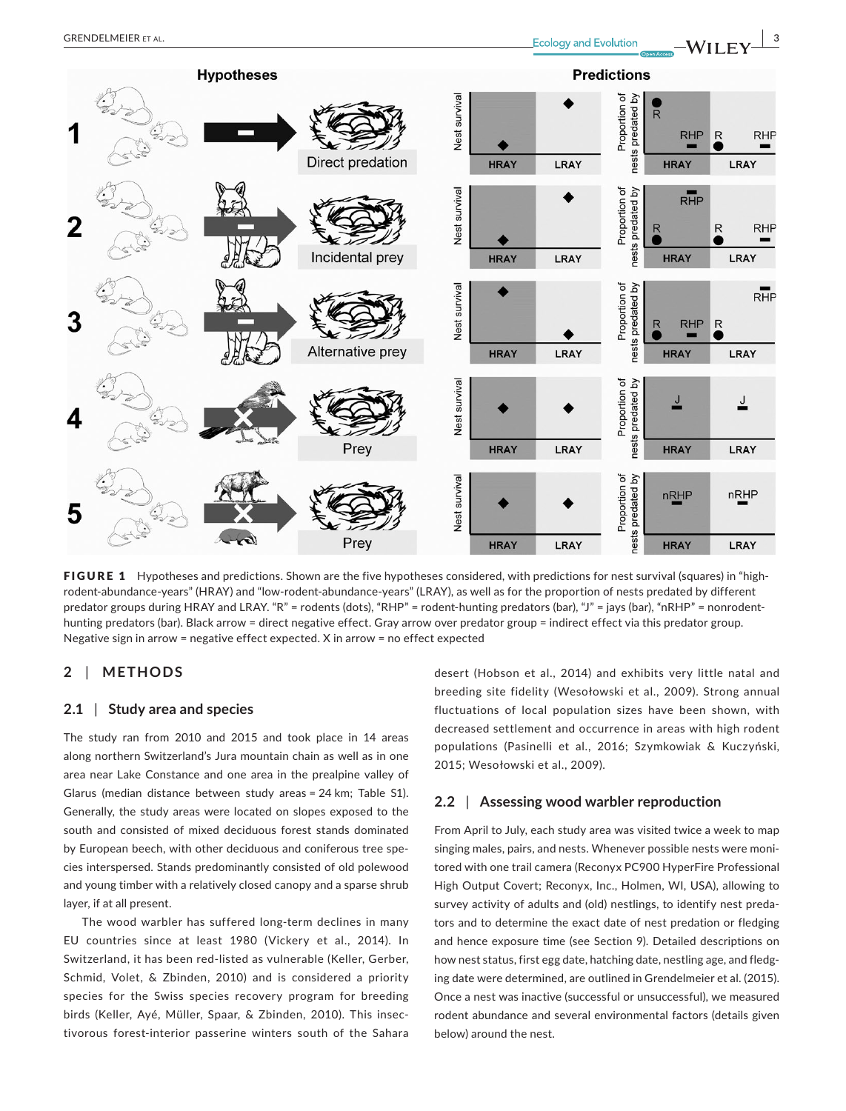

FIGURE 1 Hypotheses and predictions. Shown are the five hypotheses considered, with predictions for nest survival (squares) in "highrodent‐abundance‐years" (HRAY) and "low‐rodent‐abundance‐years" (LRAY), as well as for the proportion of nests predated by different predator groups during HRAY and LRAY. "R" = rodents (dots), "RHP" = rodent-hunting predators (bar), "J" = jays (bar), "nRHP" = nonrodenthunting predators (bar). Black arrow = direct negative effect. Gray arrow over predator group = indirect effect via this predator group. Negative sign in arrow = negative effect expected. X in arrow = no effect expected

# **2** | **METHODS**

### **2.1** | **Study area and species**

The study ran from 2010 and 2015 and took place in 14 areas along northern Switzerland's Jura mountain chain as well as in one area near Lake Constance and one area in the prealpine valley of Glarus (median distance between study areas = 24 km; Table S1). Generally, the study areas were located on slopes exposed to the south and consisted of mixed deciduous forest stands dominated by European beech, with other deciduous and coniferous tree spe‐ cies interspersed. Stands predominantly consisted of old polewood and young timber with a relatively closed canopy and a sparse shrub layer, if at all present.

The wood warbler has suffered long‐term declines in many EU countries since at least 1980 (Vickery et al., 2014). In Switzerland, it has been red‐listed as vulnerable (Keller, Gerber, Schmid, Volet, & Zbinden, 2010) and is considered a priority species for the Swiss species recovery program for breeding birds (Keller, Ayé, Müller, Spaar, & Zbinden, 2010). This insec‐ tivorous forest‐interior passerine winters south of the Sahara

desert (Hobson et al., 2014) and exhibits very little natal and breeding site fidelity (Wesołowski et al., 2009). Strong annual fluctuations of local population sizes have been shown, with decreased settlement and occurrence in areas with high rodent populations (Pasinelli et al., 2016; Szymkowiak & Kuczyński, 2015; Wesołowski et al., 2009).

### **2.2** | **Assessing wood warbler reproduction**

From April to July, each study area was visited twice a week to map singing males, pairs, and nests. Whenever possible nests were moni‐ tored with one trail camera (Reconyx PC900 HyperFire Professional High Output Covert; Reconyx, Inc., Holmen, WI, USA), allowing to survey activity of adults and (old) nestlings, to identify nest preda‐ tors and to determine the exact date of nest predation or fledging and hence exposure time (see Section 9). Detailed descriptions on how nest status, first egg date, hatching date, nestling age, and fledg‐ ing date were determined, are outlined in Grendelmeier et al. (2015). Once a nest was inactive (successful or unsuccessful), we measured rodent abundance and several environmental factors (details given below) around the nest.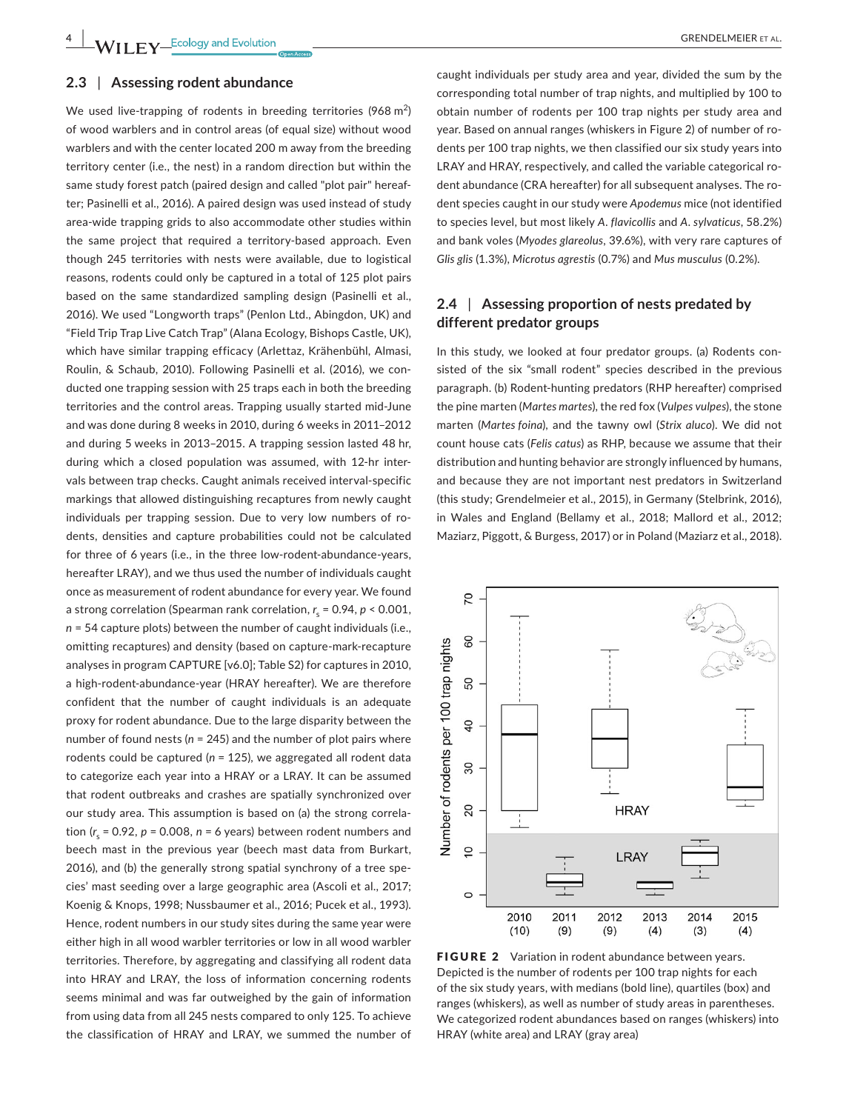We used live-trapping of rodents in breeding territories (968 m<sup>2</sup>) of wood warblers and in control areas (of equal size) without wood warblers and with the center located 200 m away from the breeding territory center (i.e., the nest) in a random direction but within the same study forest patch (paired design and called "plot pair" hereaf‐ ter; Pasinelli et al., 2016). A paired design was used instead of study area‐wide trapping grids to also accommodate other studies within the same project that required a territory‐based approach. Even though 245 territories with nests were available, due to logistical reasons, rodents could only be captured in a total of 125 plot pairs based on the same standardized sampling design (Pasinelli et al., 2016). We used "Longworth traps" (Penlon Ltd., Abingdon, UK) and "Field Trip Trap Live Catch Trap" (Alana Ecology, Bishops Castle, UK), which have similar trapping efficacy (Arlettaz, Krähenbühl, Almasi, Roulin, & Schaub, 2010). Following Pasinelli et al. (2016), we con‐ ducted one trapping session with 25 traps each in both the breeding territories and the control areas. Trapping usually started mid‐June and was done during 8 weeks in 2010, during 6 weeks in 2011–2012 and during 5 weeks in 2013–2015. A trapping session lasted 48 hr, during which a closed population was assumed, with 12‐hr inter‐ vals between trap checks. Caught animals received interval‐specific markings that allowed distinguishing recaptures from newly caught individuals per trapping session. Due to very low numbers of rodents, densities and capture probabilities could not be calculated for three of 6 years (i.e., in the three low-rodent-abundance-years, hereafter LRAY), and we thus used the number of individuals caught once as measurement of rodent abundance for every year. We found a strong correlation (Spearman rank correlation, *r* <sup>s</sup> = 0.94, *p* < 0.001, *n* = 54 capture plots) between the number of caught individuals (i.e., omitting recaptures) and density (based on capture‐mark‐recapture analyses in program CAPTURE [v6.0]; Table S2) for captures in 2010, a high-rodent-abundance-year (HRAY hereafter). We are therefore confident that the number of caught individuals is an adequate proxy for rodent abundance. Due to the large disparity between the number of found nests (*n* = 245) and the number of plot pairs where rodents could be captured (*n* = 125), we aggregated all rodent data to categorize each year into a HRAY or a LRAY. It can be assumed that rodent outbreaks and crashes are spatially synchronized over our study area. This assumption is based on (a) the strong correla‐ tion (*r* <sup>s</sup> = 0.92, *p* = 0.008, *n* = 6 years) between rodent numbers and beech mast in the previous year (beech mast data from Burkart, 2016), and (b) the generally strong spatial synchrony of a tree spe‐ cies' mast seeding over a large geographic area (Ascoli et al., 2017; Koenig & Knops, 1998; Nussbaumer et al., 2016; Pucek et al., 1993). Hence, rodent numbers in our study sites during the same year were either high in all wood warbler territories or low in all wood warbler territories. Therefore, by aggregating and classifying all rodent data into HRAY and LRAY, the loss of information concerning rodents seems minimal and was far outweighed by the gain of information from using data from all 245 nests compared to only 125. To achieve the classification of HRAY and LRAY, we summed the number of

caught individuals per study area and year, divided the sum by the corresponding total number of trap nights, and multiplied by 100 to obtain number of rodents per 100 trap nights per study area and year. Based on annual ranges (whiskers in Figure 2) of number of ro‐ dents per 100 trap nights, we then classified our six study years into LRAY and HRAY, respectively, and called the variable categorical ro‐ dent abundance (CRA hereafter) for all subsequent analyses. The ro‐ dent species caught in our study were *Apodemus* mice (not identified to species level, but most likely *A. flavicollis* and *A. sylvaticus*, 58.2%) and bank voles (*Myodes glareolus*, 39.6%), with very rare captures of *Glis glis* (1.3%), *Microtus agrestis* (0.7%) and *Mus musculus* (0.2%).

### **2.4** | **Assessing proportion of nests predated by different predator groups**

In this study, we looked at four predator groups. (a) Rodents consisted of the six "small rodent" species described in the previous paragraph. (b) Rodent‐hunting predators (RHP hereafter) comprised the pine marten (*Martes martes*), the red fox (*Vulpes vulpes*), the stone marten (*Martes foina*), and the tawny owl (*Strix aluco*). We did not count house cats (*Felis catus*) as RHP, because we assume that their distribution and hunting behavior are strongly influenced by humans, and because they are not important nest predators in Switzerland (this study; Grendelmeier et al., 2015), in Germany (Stelbrink, 2016), in Wales and England (Bellamy et al., 2018; Mallord et al., 2012; Maziarz, Piggott, & Burgess, 2017) or in Poland (Maziarz et al., 2018).



FIGURE 2 Variation in rodent abundance between years. Depicted is the number of rodents per 100 trap nights for each of the six study years, with medians (bold line), quartiles (box) and ranges (whiskers), as well as number of study areas in parentheses. We categorized rodent abundances based on ranges (whiskers) into HRAY (white area) and LRAY (gray area)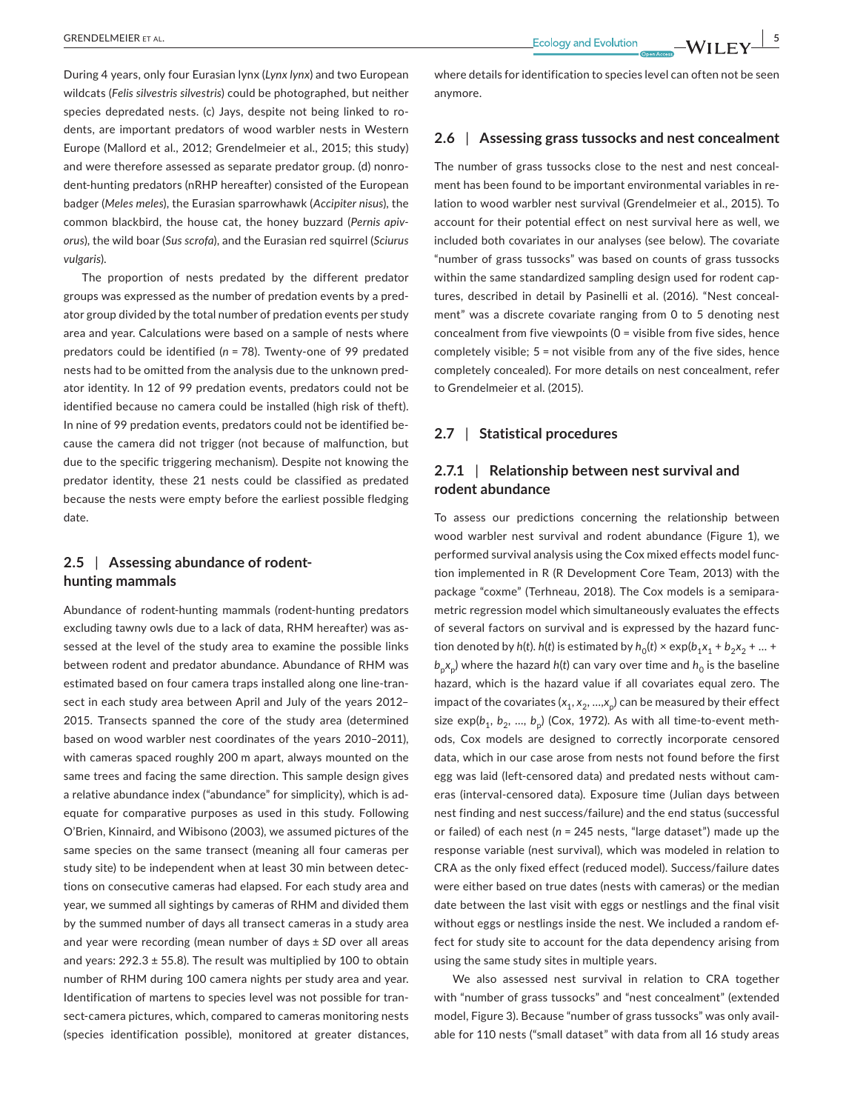During 4 years, only four Eurasian lynx (*Lynx lynx*) and two European wildcats (*Felis silvestris silvestris*) could be photographed, but neither species depredated nests. (c) Jays, despite not being linked to rodents, are important predators of wood warbler nests in Western Europe (Mallord et al., 2012; Grendelmeier et al., 2015; this study) and were therefore assessed as separate predator group. (d) nonro‐ dent-hunting predators (nRHP hereafter) consisted of the European badger (*Meles meles*), the Eurasian sparrowhawk (*Accipiter nisus*), the common blackbird, the house cat, the honey buzzard (*Pernis apiv‐ orus*), the wild boar (*Sus scrofa*), and the Eurasian red squirrel (*Sciurus vulgaris*).

The proportion of nests predated by the different predator groups was expressed as the number of predation events by a pred‐ ator group divided by the total number of predation events per study area and year. Calculations were based on a sample of nests where predators could be identified (*n* = 78). Twenty‐one of 99 predated nests had to be omitted from the analysis due to the unknown pred‐ ator identity. In 12 of 99 predation events, predators could not be identified because no camera could be installed (high risk of theft). In nine of 99 predation events, predators could not be identified because the camera did not trigger (not because of malfunction, but due to the specific triggering mechanism). Despite not knowing the predator identity, these 21 nests could be classified as predated because the nests were empty before the earliest possible fledging date.

## **2.5** | **Assessing abundance of rodent‐ hunting mammals**

Abundance of rodent‐hunting mammals (rodent‐hunting predators excluding tawny owls due to a lack of data, RHM hereafter) was as‐ sessed at the level of the study area to examine the possible links between rodent and predator abundance. Abundance of RHM was estimated based on four camera traps installed along one line-transect in each study area between April and July of the years 2012– 2015. Transects spanned the core of the study area (determined based on wood warbler nest coordinates of the years 2010–2011), with cameras spaced roughly 200 m apart, always mounted on the same trees and facing the same direction. This sample design gives a relative abundance index ("abundance" for simplicity), which is ad‐ equate for comparative purposes as used in this study. Following O'Brien, Kinnaird, and Wibisono (2003), we assumed pictures of the same species on the same transect (meaning all four cameras per study site) to be independent when at least 30 min between detec‐ tions on consecutive cameras had elapsed. For each study area and year, we summed all sightings by cameras of RHM and divided them by the summed number of days all transect cameras in a study area and year were recording (mean number of days ± *SD* over all areas and years:  $292.3 \pm 55.8$ ). The result was multiplied by 100 to obtain number of RHM during 100 camera nights per study area and year. Identification of martens to species level was not possible for transect-camera pictures, which, compared to cameras monitoring nests (species identification possible), monitored at greater distances,

where details for identification to species level can often not be seen anymore.

### **2.6** | **Assessing grass tussocks and nest concealment**

The number of grass tussocks close to the nest and nest conceal‐ ment has been found to be important environmental variables in relation to wood warbler nest survival (Grendelmeier et al., 2015). To account for their potential effect on nest survival here as well, we included both covariates in our analyses (see below). The covariate "number of grass tussocks" was based on counts of grass tussocks within the same standardized sampling design used for rodent captures, described in detail by Pasinelli et al. (2016). "Nest conceal‐ ment" was a discrete covariate ranging from 0 to 5 denoting nest concealment from five viewpoints (0 = visible from five sides, hence completely visible; 5 = not visible from any of the five sides, hence completely concealed). For more details on nest concealment, refer to Grendelmeier et al. (2015).

### **2.7** | **Statistical procedures**

### **2.7.1** | **Relationship between nest survival and rodent abundance**

To assess our predictions concerning the relationship between wood warbler nest survival and rodent abundance (Figure 1), we performed survival analysis using the Cox mixed effects model func‐ tion implemented in R (R Development Core Team, 2013) with the package "coxme" (Terhneau, 2018). The Cox models is a semipara‐ metric regression model which simultaneously evaluates the effects of several factors on survival and is expressed by the hazard func‐ tion denoted by  $h(t)$ .  $h(t)$  is estimated by  $h_0(t) \times \exp(b_1x_1 + b_2x_2 + ... + b_nx_n)$  $b_n x_n$ ) where the hazard *h*(*t*) can vary over time and  $h_0$  is the baseline hazard, which is the hazard value if all covariates equal zero. The impact of the covariates  $(x_1, x_2, ..., x_n)$  can be measured by their effect size exp( $b_1$ ,  $b_2$ , ...,  $b_n$ ) (Cox, 1972). As with all time-to-event methods, Cox models are designed to correctly incorporate censored data, which in our case arose from nests not found before the first egg was laid (left-censored data) and predated nests without cameras (interval‐censored data). Exposure time (Julian days between nest finding and nest success/failure) and the end status (successful or failed) of each nest (*n* = 245 nests, "large dataset") made up the response variable (nest survival), which was modeled in relation to CRA as the only fixed effect (reduced model). Success/failure dates were either based on true dates (nests with cameras) or the median date between the last visit with eggs or nestlings and the final visit without eggs or nestlings inside the nest. We included a random ef‐ fect for study site to account for the data dependency arising from using the same study sites in multiple years.

We also assessed nest survival in relation to CRA together with "number of grass tussocks" and "nest concealment" (extended model, Figure 3). Because "number of grass tussocks" was only avail‐ able for 110 nests ("small dataset" with data from all 16 study areas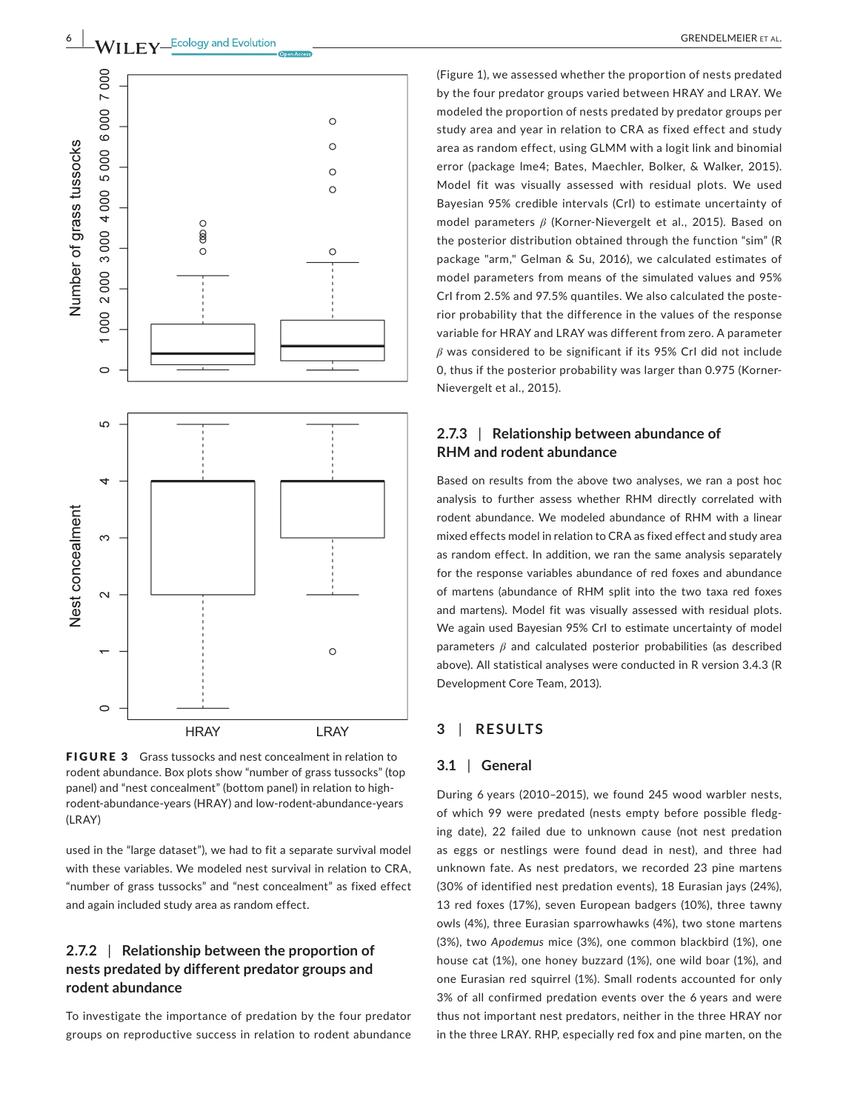

FIGURE 3 Grass tussocks and nest concealment in relation to rodent abundance. Box plots show "number of grass tussocks" (top panel) and "nest concealment" (bottom panel) in relation to high‐ rodent‐abundance‐years (HRAY) and low‐rodent‐abundance‐years (LRAY)

used in the "large dataset"), we had to fit a separate survival model with these variables. We modeled nest survival in relation to CRA, "number of grass tussocks" and "nest concealment" as fixed effect and again included study area as random effect.

# **2.7.2** | **Relationship between the proportion of nests predated by different predator groups and rodent abundance**

To investigate the importance of predation by the four predator groups on reproductive success in relation to rodent abundance (Figure 1), we assessed whether the proportion of nests predated by the four predator groups varied between HRAY and LRAY. We modeled the proportion of nests predated by predator groups per study area and year in relation to CRA as fixed effect and study area as random effect, using GLMM with a logit link and binomial error (package lme4; Bates, Maechler, Bolker, & Walker, 2015). Model fit was visually assessed with residual plots. We used Bayesian 95% credible intervals (CrI) to estimate uncertainty of model parameters *β* (Korner‐Nievergelt et al., 2015). Based on the posterior distribution obtained through the function "sim" (R package "arm," Gelman & Su, 2016), we calculated estimates of model parameters from means of the simulated values and 95% CrI from 2.5% and 97.5% quantiles. We also calculated the poste‐ rior probability that the difference in the values of the response variable for HRAY and LRAY was different from zero. A parameter *β* was considered to be significant if its 95% CrI did not include 0, thus if the posterior probability was larger than 0.975 (Korner‐ Nievergelt et al., 2015).

# **2.7.3** | **Relationship between abundance of RHM and rodent abundance**

Based on results from the above two analyses, we ran a post hoc analysis to further assess whether RHM directly correlated with rodent abundance. We modeled abundance of RHM with a linear mixed effects model in relation to CRA as fixed effect and study area as random effect. In addition, we ran the same analysis separately for the response variables abundance of red foxes and abundance of martens (abundance of RHM split into the two taxa red foxes and martens). Model fit was visually assessed with residual plots. We again used Bayesian 95% CrI to estimate uncertainty of model parameters *β* and calculated posterior probabilities (as described above). All statistical analyses were conducted in R version 3.4.3 (R Development Core Team, 2013).

### **3** | **RESULTS**

#### **3.1** | **General**

During 6 years (2010–2015), we found 245 wood warbler nests, of which 99 were predated (nests empty before possible fledging date), 22 failed due to unknown cause (not nest predation as eggs or nestlings were found dead in nest), and three had unknown fate. As nest predators, we recorded 23 pine martens (30% of identified nest predation events), 18 Eurasian jays (24%), 13 red foxes (17%), seven European badgers (10%), three tawny owls (4%), three Eurasian sparrowhawks (4%), two stone martens (3%), two *Apodemus* mice (3%), one common blackbird (1%), one house cat (1%), one honey buzzard (1%), one wild boar (1%), and one Eurasian red squirrel (1%). Small rodents accounted for only 3% of all confirmed predation events over the 6 years and were thus not important nest predators, neither in the three HRAY nor in the three LRAY. RHP, especially red fox and pine marten, on the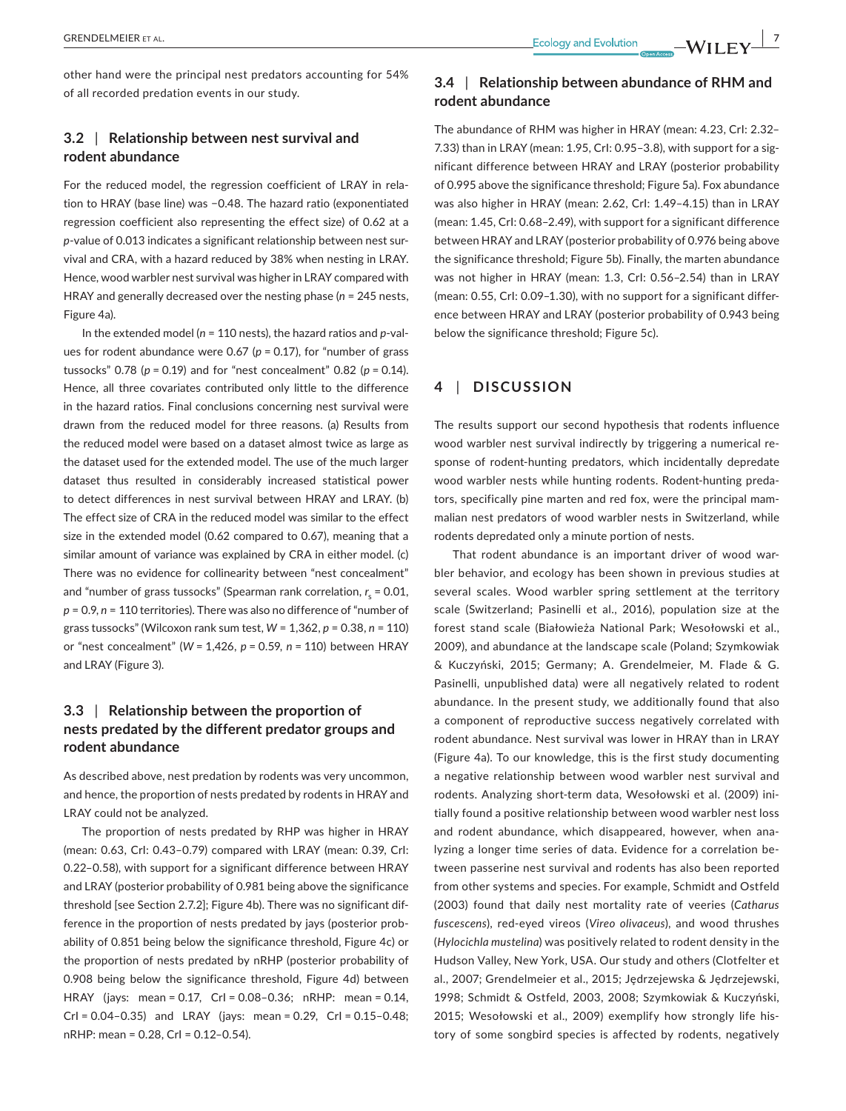other hand were the principal nest predators accounting for 54% of all recorded predation events in our study.

### **3.2** | **Relationship between nest survival and rodent abundance**

For the reduced model, the regression coefficient of LRAY in rela‐ tion to HRAY (base line) was −0.48. The hazard ratio (exponentiated regression coefficient also representing the effect size) of 0.62 at a p-value of 0.013 indicates a significant relationship between nest survival and CRA, with a hazard reduced by 38% when nesting in LRAY. Hence, wood warbler nest survival was higher in LRAY compared with HRAY and generally decreased over the nesting phase (*n* = 245 nests, Figure 4a).

In the extended model (*n* = 110 nests), the hazard ratios and *p*‐val‐ ues for rodent abundance were 0.67 (*p* = 0.17), for "number of grass tussocks" 0.78 (*p* = 0.19) and for "nest concealment" 0.82 (*p* = 0.14). Hence, all three covariates contributed only little to the difference in the hazard ratios. Final conclusions concerning nest survival were drawn from the reduced model for three reasons. (a) Results from the reduced model were based on a dataset almost twice as large as the dataset used for the extended model. The use of the much larger dataset thus resulted in considerably increased statistical power to detect differences in nest survival between HRAY and LRAY. (b) The effect size of CRA in the reduced model was similar to the effect size in the extended model (0.62 compared to 0.67), meaning that a similar amount of variance was explained by CRA in either model. (c) There was no evidence for collinearity between "nest concealment" and "number of grass tussocks" (Spearman rank correlation, *r<sub>s</sub>* = 0.01, *p* = 0.9, *n* = 110 territories). There was also no difference of "number of grass tussocks" (Wilcoxon rank sum test, *W* = 1,362, *p* = 0.38, *n* = 110) or "nest concealment" (*W* = 1,426, *p* = 0.59, *n* = 110) between HRAY and LRAY (Figure 3).

# **3.3** | **Relationship between the proportion of nests predated by the different predator groups and rodent abundance**

As described above, nest predation by rodents was very uncommon, and hence, the proportion of nests predated by rodents in HRAY and LRAY could not be analyzed.

The proportion of nests predated by RHP was higher in HRAY (mean: 0.63, CrI: 0.43–0.79) compared with LRAY (mean: 0.39, CrI: 0.22–0.58), with support for a significant difference between HRAY and LRAY (posterior probability of 0.981 being above the significance threshold [see Section 2.7.2]; Figure 4b). There was no significant dif‐ ference in the proportion of nests predated by jays (posterior prob‐ ability of 0.851 being below the significance threshold, Figure 4c) or the proportion of nests predated by nRHP (posterior probability of 0.908 being below the significance threshold, Figure 4d) between HRAY (jays: mean = 0.17, CrI = 0.08–0.36; nRHP: mean = 0.14, CrI = 0.04–0.35) and LRAY (jays: mean = 0.29, CrI = 0.15–0.48; nRHP: mean = 0.28, CrI = 0.12–0.54).

# **3.4** | **Relationship between abundance of RHM and rodent abundance**

The abundance of RHM was higher in HRAY (mean: 4.23, CrI: 2.32– 7.33) than in LRAY (mean: 1.95, CrI: 0.95–3.8), with support for a sig‐ nificant difference between HRAY and LRAY (posterior probability of 0.995 above the significance threshold; Figure 5a). Fox abundance was also higher in HRAY (mean: 2.62, CrI: 1.49–4.15) than in LRAY (mean: 1.45, CrI: 0.68–2.49), with support for a significant difference between HRAY and LRAY (posterior probability of 0.976 being above the significance threshold; Figure 5b). Finally, the marten abundance was not higher in HRAY (mean: 1.3, CrI: 0.56–2.54) than in LRAY (mean: 0.55, CrI: 0.09–1.30), with no support for a significant differ‐ ence between HRAY and LRAY (posterior probability of 0.943 being below the significance threshold; Figure 5c).

### **4** | **DISCUSSION**

The results support our second hypothesis that rodents influence wood warbler nest survival indirectly by triggering a numerical response of rodent-hunting predators, which incidentally depredate wood warbler nests while hunting rodents. Rodent-hunting predators, specifically pine marten and red fox, were the principal mam‐ malian nest predators of wood warbler nests in Switzerland, while rodents depredated only a minute portion of nests.

That rodent abundance is an important driver of wood war‐ bler behavior, and ecology has been shown in previous studies at several scales. Wood warbler spring settlement at the territory scale (Switzerland; Pasinelli et al., 2016), population size at the forest stand scale (Białowieża National Park; Wesołowski et al., 2009), and abundance at the landscape scale (Poland; Szymkowiak & Kuczyński, 2015; Germany; A. Grendelmeier, M. Flade & G. Pasinelli, unpublished data) were all negatively related to rodent abundance. In the present study, we additionally found that also a component of reproductive success negatively correlated with rodent abundance. Nest survival was lower in HRAY than in LRAY (Figure 4a). To our knowledge, this is the first study documenting a negative relationship between wood warbler nest survival and rodents. Analyzing short‐term data, Wesołowski et al. (2009) ini‐ tially found a positive relationship between wood warbler nest loss and rodent abundance, which disappeared, however, when ana‐ lyzing a longer time series of data. Evidence for a correlation be‐ tween passerine nest survival and rodents has also been reported from other systems and species. For example, Schmidt and Ostfeld (2003) found that daily nest mortality rate of veeries (*Catharus fuscescens*), red‐eyed vireos (*Vireo olivaceus*), and wood thrushes (*Hylocichla mustelina*) was positively related to rodent density in the Hudson Valley, New York, USA. Our study and others (Clotfelter et al., 2007; Grendelmeier et al., 2015; Jȩdrzejewska & Jȩdrzejewski, 1998; Schmidt & Ostfeld, 2003, 2008; Szymkowiak & Kuczyński, 2015; Wesołowski et al., 2009) exemplify how strongly life his‐ tory of some songbird species is affected by rodents, negatively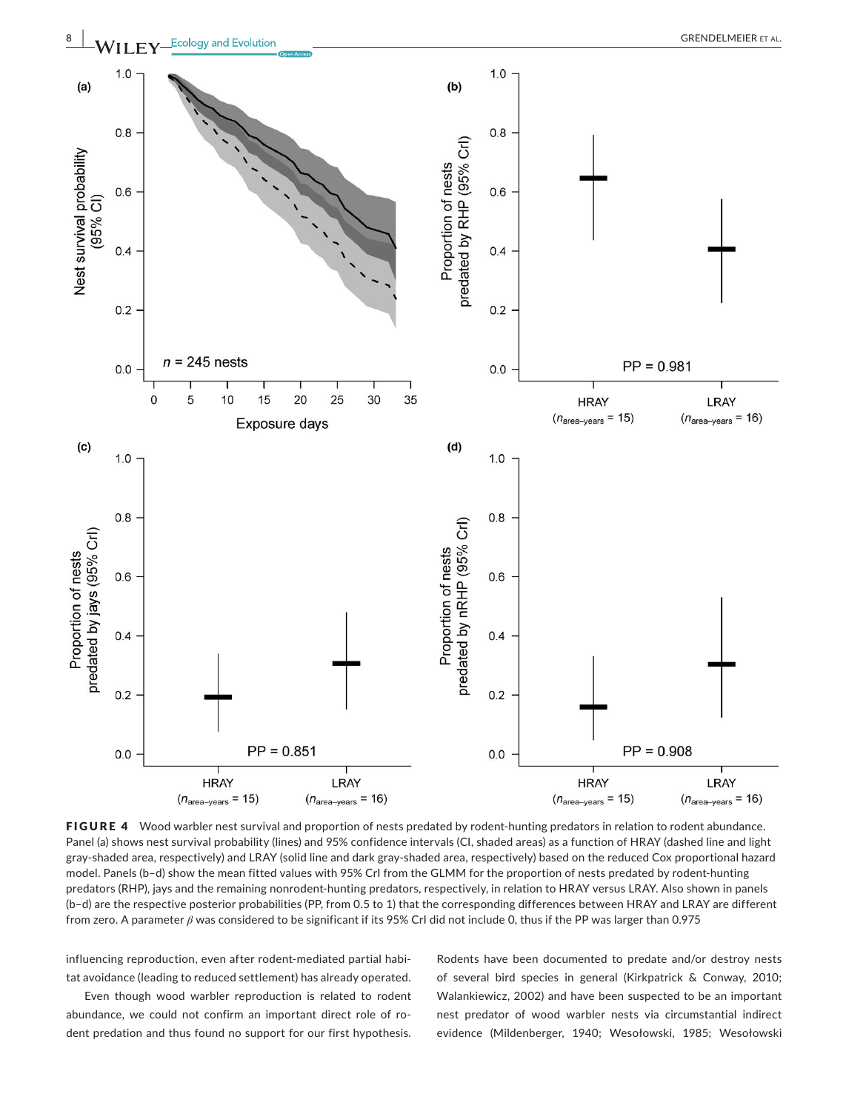

FIGURE 4 Wood warbler nest survival and proportion of nests predated by rodent-hunting predators in relation to rodent abundance. Panel (a) shows nest survival probability (lines) and 95% confidence intervals (CI, shaded areas) as a function of HRAY (dashed line and light gray‐shaded area, respectively) and LRAY (solid line and dark gray‐shaded area, respectively) based on the reduced Cox proportional hazard model. Panels (b-d) show the mean fitted values with 95% CrI from the GLMM for the proportion of nests predated by rodent-hunting predators (RHP), jays and the remaining nonrodent-hunting predators, respectively, in relation to HRAY versus LRAY. Also shown in panels (b–d) are the respective posterior probabilities (PP, from 0.5 to 1) that the corresponding differences between HRAY and LRAY are different from zero. A parameter *β* was considered to be significant if its 95% CrI did not include 0, thus if the PP was larger than 0.975

influencing reproduction, even after rodent-mediated partial habitat avoidance (leading to reduced settlement) has already operated.

Even though wood warbler reproduction is related to rodent abundance, we could not confirm an important direct role of rodent predation and thus found no support for our first hypothesis.

Rodents have been documented to predate and/or destroy nests of several bird species in general (Kirkpatrick & Conway, 2010; Walankiewicz, 2002) and have been suspected to be an important nest predator of wood warbler nests via circumstantial indirect evidence (Mildenberger, 1940; Wesołowski, 1985; Wesołowski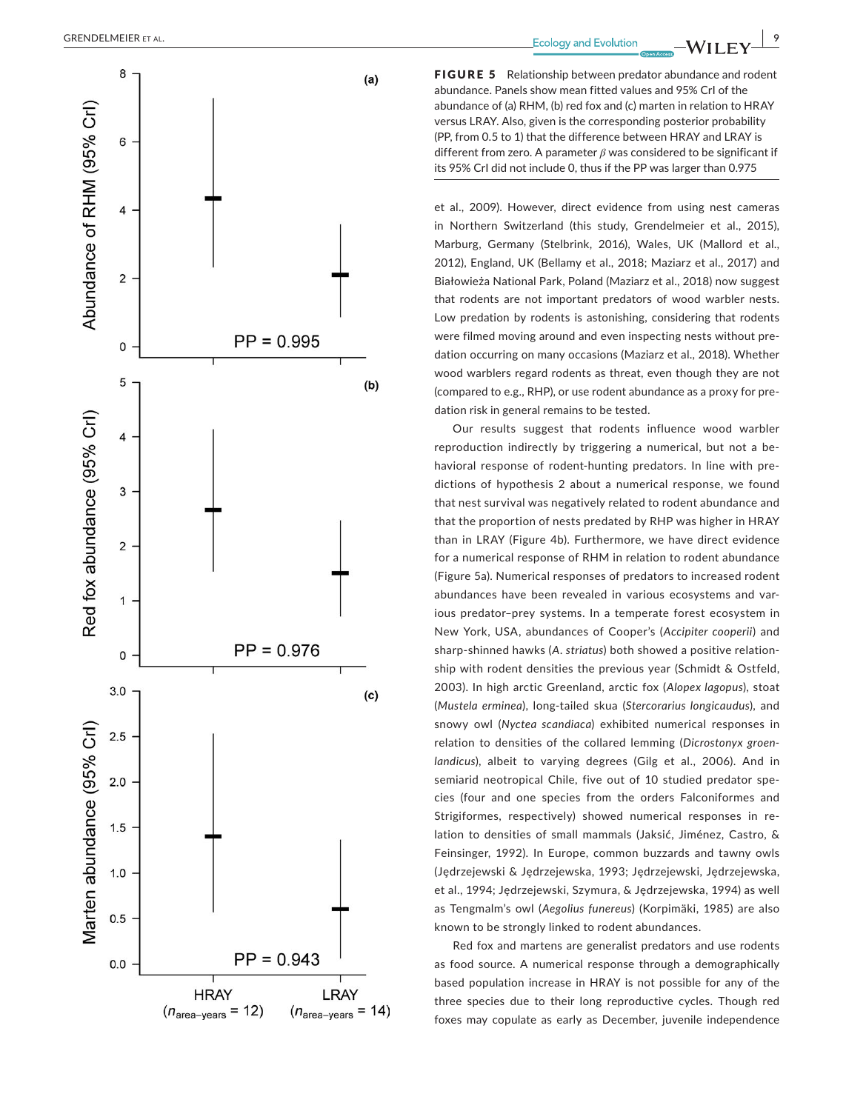

FIGURE 5 Relationship between predator abundance and rodent abundance. Panels show mean fitted values and 95% CrI of the abundance of (a) RHM, (b) red fox and (c) marten in relation to HRAY versus LRAY. Also, given is the corresponding posterior probability (PP, from 0.5 to 1) that the difference between HRAY and LRAY is different from zero. A parameter *β* was considered to be significant if its 95% CrI did not include 0, thus if the PP was larger than 0.975

et al., 2009). However, direct evidence from using nest cameras in Northern Switzerland (this study, Grendelmeier et al., 2015), Marburg, Germany (Stelbrink, 2016), Wales, UK (Mallord et al., 2012), England, UK (Bellamy et al., 2018; Maziarz et al., 2017) and Białowieża National Park, Poland (Maziarz et al., 2018) now suggest that rodents are not important predators of wood warbler nests. Low predation by rodents is astonishing, considering that rodents were filmed moving around and even inspecting nests without pre‐ dation occurring on many occasions (Maziarz et al., 2018). Whether wood warblers regard rodents as threat, even though they are not (compared to e.g., RHP), or use rodent abundance as a proxy for pre‐ dation risk in general remains to be tested.

Our results suggest that rodents influence wood warbler reproduction indirectly by triggering a numerical, but not a be‐ havioral response of rodent-hunting predators. In line with predictions of hypothesis 2 about a numerical response, we found that nest survival was negatively related to rodent abundance and that the proportion of nests predated by RHP was higher in HRAY than in LRAY (Figure 4b). Furthermore, we have direct evidence for a numerical response of RHM in relation to rodent abundance (Figure 5a). Numerical responses of predators to increased rodent abundances have been revealed in various ecosystems and var‐ ious predator–prey systems. In a temperate forest ecosystem in New York, USA, abundances of Cooper's (*Accipiter cooperii*) and sharp‐shinned hawks (*A. striatus*) both showed a positive relation‐ ship with rodent densities the previous year (Schmidt & Ostfeld, 2003). In high arctic Greenland, arctic fox (*Alopex lagopus*), stoat (*Mustela erminea*), long‐tailed skua (*Stercorarius longicaudus*), and snowy owl (*Nyctea scandiaca*) exhibited numerical responses in relation to densities of the collared lemming (*Dicrostonyx groen‐ landicus*), albeit to varying degrees (Gilg et al., 2006). And in semiarid neotropical Chile, five out of 10 studied predator species (four and one species from the orders Falconiformes and Strigiformes, respectively) showed numerical responses in re‐ lation to densities of small mammals (Jaksić, Jiménez, Castro, & Feinsinger, 1992). In Europe, common buzzards and tawny owls (Jȩdrzejewski & Jȩdrzejewska, 1993; Jȩdrzejewski, Jȩdrzejewska, et al., 1994; Jȩdrzejewski, Szymura, & Jȩdrzejewska, 1994) as well as Tengmalm's owl (*Aegolius funereus*) (Korpimäki, 1985) are also known to be strongly linked to rodent abundances.

Red fox and martens are generalist predators and use rodents as food source. A numerical response through a demographically based population increase in HRAY is not possible for any of the three species due to their long reproductive cycles. Though red foxes may copulate as early as December, juvenile independence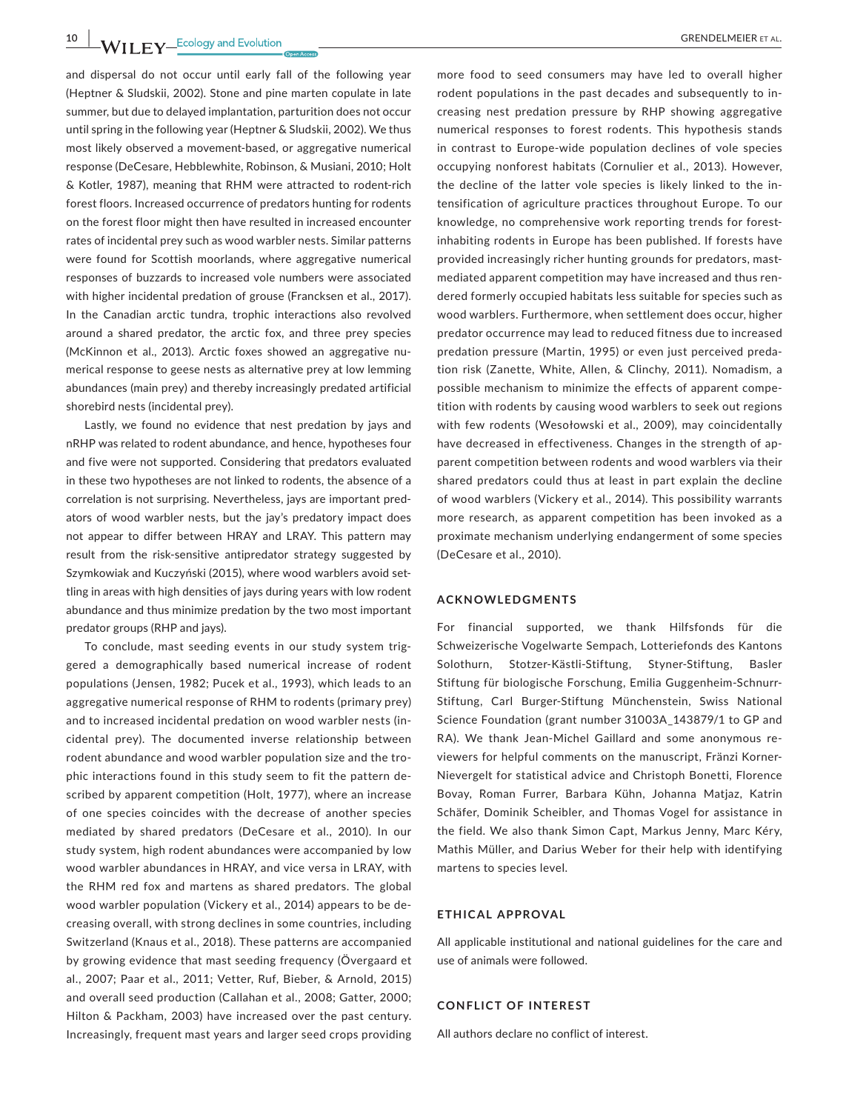**10 MII FY** Ecology and Evolution <u>Conserver Conserver Conserver Conserver Conserver Conserver Conserver Conserver</u>

and dispersal do not occur until early fall of the following year (Heptner & Sludskii, 2002). Stone and pine marten copulate in late summer, but due to delayed implantation, parturition does not occur until spring in the following year (Heptner & Sludskii, 2002). We thus most likely observed a movement‐based, or aggregative numerical response (DeCesare, Hebblewhite, Robinson, & Musiani, 2010; Holt & Kotler, 1987), meaning that RHM were attracted to rodent‐rich forest floors. Increased occurrence of predators hunting for rodents on the forest floor might then have resulted in increased encounter rates of incidental prey such as wood warbler nests. Similar patterns were found for Scottish moorlands, where aggregative numerical responses of buzzards to increased vole numbers were associated with higher incidental predation of grouse (Francksen et al., 2017). In the Canadian arctic tundra, trophic interactions also revolved around a shared predator, the arctic fox, and three prey species (McKinnon et al., 2013). Arctic foxes showed an aggregative nu‐ merical response to geese nests as alternative prey at low lemming abundances (main prey) and thereby increasingly predated artificial shorebird nests (incidental prey).

Lastly, we found no evidence that nest predation by jays and nRHP was related to rodent abundance, and hence, hypotheses four and five were not supported. Considering that predators evaluated in these two hypotheses are not linked to rodents, the absence of a correlation is not surprising. Nevertheless, jays are important pred‐ ators of wood warbler nests, but the jay's predatory impact does not appear to differ between HRAY and LRAY. This pattern may result from the risk-sensitive antipredator strategy suggested by Szymkowiak and Kuczyński (2015), where wood warblers avoid set‐ tling in areas with high densities of jays during years with low rodent abundance and thus minimize predation by the two most important predator groups (RHP and jays).

To conclude, mast seeding events in our study system trig‐ gered a demographically based numerical increase of rodent populations (Jensen, 1982; Pucek et al., 1993), which leads to an aggregative numerical response of RHM to rodents (primary prey) and to increased incidental predation on wood warbler nests (in‐ cidental prey). The documented inverse relationship between rodent abundance and wood warbler population size and the tro‐ phic interactions found in this study seem to fit the pattern de‐ scribed by apparent competition (Holt, 1977), where an increase of one species coincides with the decrease of another species mediated by shared predators (DeCesare et al., 2010). In our study system, high rodent abundances were accompanied by low wood warbler abundances in HRAY, and vice versa in LRAY, with the RHM red fox and martens as shared predators. The global wood warbler population (Vickery et al., 2014) appears to be de‐ creasing overall, with strong declines in some countries, including Switzerland (Knaus et al., 2018). These patterns are accompanied by growing evidence that mast seeding frequency (Övergaard et al., 2007; Paar et al., 2011; Vetter, Ruf, Bieber, & Arnold, 2015) and overall seed production (Callahan et al., 2008; Gatter, 2000; Hilton & Packham, 2003) have increased over the past century. Increasingly, frequent mast years and larger seed crops providing more food to seed consumers may have led to overall higher rodent populations in the past decades and subsequently to in‐ creasing nest predation pressure by RHP showing aggregative numerical responses to forest rodents. This hypothesis stands in contrast to Europe‐wide population declines of vole species occupying nonforest habitats (Cornulier et al., 2013). However, the decline of the latter vole species is likely linked to the in‐ tensification of agriculture practices throughout Europe. To our knowledge, no comprehensive work reporting trends for forestinhabiting rodents in Europe has been published. If forests have provided increasingly richer hunting grounds for predators, mastmediated apparent competition may have increased and thus rendered formerly occupied habitats less suitable for species such as wood warblers. Furthermore, when settlement does occur, higher predator occurrence may lead to reduced fitness due to increased predation pressure (Martin, 1995) or even just perceived preda‐ tion risk (Zanette, White, Allen, & Clinchy, 2011). Nomadism, a possible mechanism to minimize the effects of apparent compe‐ tition with rodents by causing wood warblers to seek out regions with few rodents (Wesołowski et al., 2009), may coincidentally have decreased in effectiveness. Changes in the strength of apparent competition between rodents and wood warblers via their shared predators could thus at least in part explain the decline of wood warblers (Vickery et al., 2014). This possibility warrants more research, as apparent competition has been invoked as a proximate mechanism underlying endangerment of some species (DeCesare et al., 2010).

#### **ACKNOWLEDGMENTS**

For financial supported, we thank Hilfsfonds für die Schweizerische Vogelwarte Sempach, Lotteriefonds des Kantons Solothurn, Stotzer‐Kästli‐Stiftung, Styner‐Stiftung, Basler Stiftung für biologische Forschung, Emilia Guggenheim‐Schnurr‐ Stiftung, Carl Burger‐Stiftung Münchenstein, Swiss National Science Foundation (grant number 31003A\_143879/1 to GP and RA). We thank Jean‐Michel Gaillard and some anonymous re‐ viewers for helpful comments on the manuscript, Fränzi Korner‐ Nievergelt for statistical advice and Christoph Bonetti, Florence Bovay, Roman Furrer, Barbara Kühn, Johanna Matjaz, Katrin Schäfer, Dominik Scheibler, and Thomas Vogel for assistance in the field. We also thank Simon Capt, Markus Jenny, Marc Kéry, Mathis Müller, and Darius Weber for their help with identifying martens to species level.

#### **ETHICAL APPROVAL**

All applicable institutional and national guidelines for the care and use of animals were followed.

#### **CONFLICT OF INTEREST**

All authors declare no conflict of interest.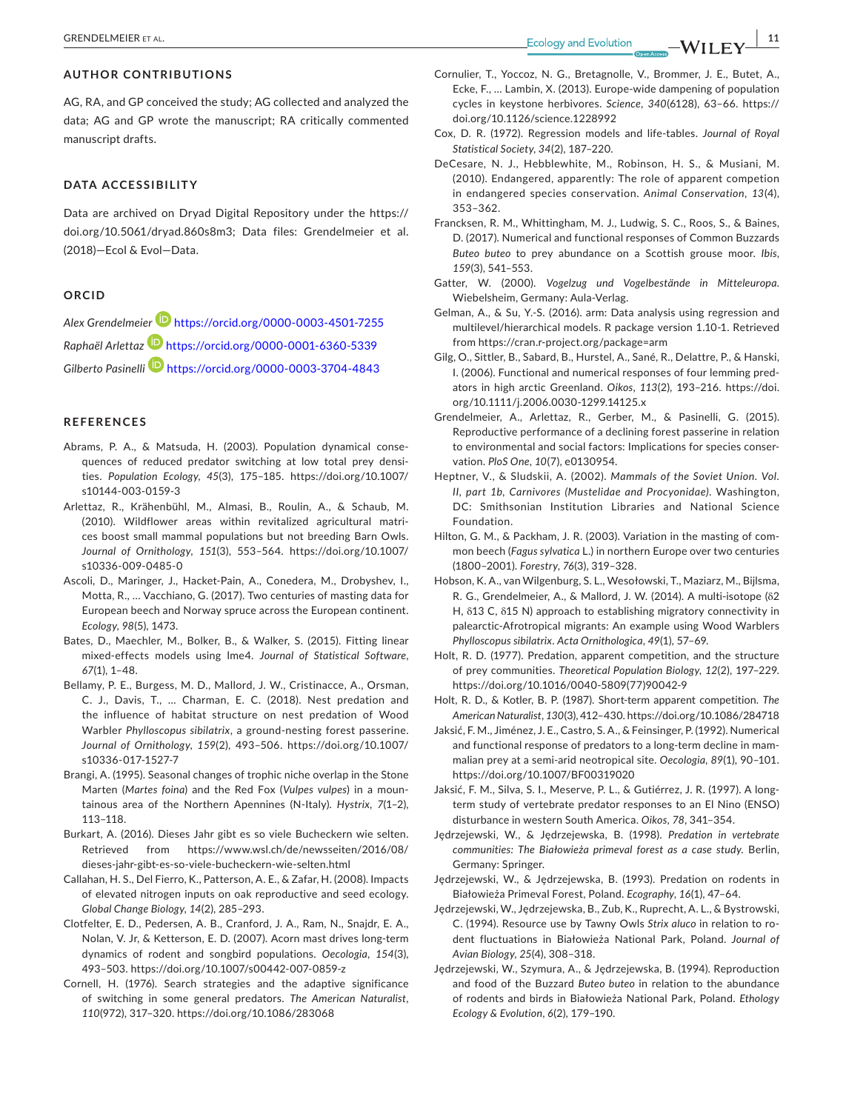### **AUTHOR CONTRIBUTIONS**

AG, RA, and GP conceived the study; AG collected and analyzed the data; AG and GP wrote the manuscript; RA critically commented manuscript drafts.

### **DATA ACCESSIBILITY**

Data are archived on Dryad Digital Repository under the [https://](https://doi.org/10.5061/dryad.860s8m3) [doi.org/10.5061/dryad.860s8m3;](https://doi.org/10.5061/dryad.860s8m3) Data files: Grendelmeier et al. (2018)—Ecol & Evol—Data.

#### **ORCID**

*Alex Grendelmeier* <https://orcid.org/0000-0003-4501-7255> *Raphaël Arlettaz* <https://orcid.org/0000-0001-6360-5339> *Gilberto Pasinelli* <https://orcid.org/0000-0003-3704-4843>

#### **REFERENCES**

- Abrams, P. A., & Matsuda, H. (2003). Population dynamical conse‐ quences of reduced predator switching at low total prey densities. *Population Ecology*, *45*(3), 175–185. [https://doi.org/10.1007/](https://doi.org/10.1007/s10144-003-0159-3) [s10144-003-0159-3](https://doi.org/10.1007/s10144-003-0159-3)
- Arlettaz, R., Krähenbühl, M., Almasi, B., Roulin, A., & Schaub, M. (2010). Wildflower areas within revitalized agricultural matri‐ ces boost small mammal populations but not breeding Barn Owls. *Journal of Ornithology*, *151*(3), 553–564. [https://doi.org/10.1007/](https://doi.org/10.1007/s10336-009-0485-0) [s10336-009-0485-0](https://doi.org/10.1007/s10336-009-0485-0)
- Ascoli, D., Maringer, J., Hacket‐Pain, A., Conedera, M., Drobyshev, I., Motta, R., … Vacchiano, G. (2017). Two centuries of masting data for European beech and Norway spruce across the European continent. *Ecology*, *98*(5), 1473.
- Bates, D., Maechler, M., Bolker, B., & Walker, S. (2015). Fitting linear mixed‐effects models using lme4. *Journal of Statistical Software*, *67*(1), 1–48.
- Bellamy, P. E., Burgess, M. D., Mallord, J. W., Cristinacce, A., Orsman, C. J., Davis, T., … Charman, E. C. (2018). Nest predation and the influence of habitat structure on nest predation of Wood Warbler *Phylloscopus sibilatrix*, a ground‐nesting forest passerine. *Journal of Ornithology*, *159*(2), 493–506. [https://doi.org/10.1007/](https://doi.org/10.1007/s10336-017-1527-7) [s10336-017-1527-7](https://doi.org/10.1007/s10336-017-1527-7)
- Brangi, A. (1995). Seasonal changes of trophic niche overlap in the Stone Marten (*Martes foina*) and the Red Fox (*Vulpes vulpes*) in a moun‐ tainous area of the Northern Apennines (N‐Italy). *Hystrix*, *7*(1–2), 113–118.
- Burkart, A. (2016). Dieses Jahr gibt es so viele Bucheckern wie selten. Retrieved from [https://www.wsl.ch/de/newsseiten/2016/08/](https://www.wsl.ch/de/newsseiten/2016/08/dieses-jahr-gibt-es-so-viele-bucheckern-wie-selten.html) [dieses-jahr-gibt-es-so-viele-bucheckern-wie-selten.html](https://www.wsl.ch/de/newsseiten/2016/08/dieses-jahr-gibt-es-so-viele-bucheckern-wie-selten.html)
- Callahan, H. S., Del Fierro, K., Patterson, A. E., & Zafar, H. (2008). Impacts of elevated nitrogen inputs on oak reproductive and seed ecology. *Global Change Biology*, *14*(2), 285–293.
- Clotfelter, E. D., Pedersen, A. B., Cranford, J. A., Ram, N., Snajdr, E. A., Nolan, V. Jr, & Ketterson, E. D. (2007). Acorn mast drives long‐term dynamics of rodent and songbird populations. *Oecologia*, *154*(3), 493–503. <https://doi.org/10.1007/s00442-007-0859-z>
- Cornell, H. (1976). Search strategies and the adaptive significance of switching in some general predators. *The American Naturalist*, *110*(972), 317–320. <https://doi.org/10.1086/283068>
- Cornulier, T., Yoccoz, N. G., Bretagnolle, V., Brommer, J. E., Butet, A., Ecke, F., … Lambin, X. (2013). Europe‐wide dampening of population cycles in keystone herbivores. *Science*, *340*(6128), 63–66. [https://](https://doi.org/10.1126/science.1228992) [doi.org/10.1126/science.1228992](https://doi.org/10.1126/science.1228992)
- Cox, D. R. (1972). Regression models and life‐tables. *Journal of Royal Statistical Society*, *34*(2), 187–220.
- DeCesare, N. J., Hebblewhite, M., Robinson, H. S., & Musiani, M. (2010). Endangered, apparently: The role of apparent competion in endangered species conservation. *Animal Conservation*, *13*(4), 353–362.
- Francksen, R. M., Whittingham, M. J., Ludwig, S. C., Roos, S., & Baines, D. (2017). Numerical and functional responses of Common Buzzards *Buteo buteo* to prey abundance on a Scottish grouse moor. *Ibis*, *159*(3), 541–553.
- Gatter, W. (2000). *Vogelzug und Vogelbestände in Mitteleuropa*. Wiebelsheim, Germany: Aula‐Verlag.
- Gelman, A., & Su, Y.‐S. (2016). arm: Data analysis using regression and multilevel/hierarchical models. R package version 1.10‐1. Retrieved from <https://cran.r-project.org/package=arm>
- Gilg, O., Sittler, B., Sabard, B., Hurstel, A., Sané, R., Delattre, P., & Hanski, I. (2006). Functional and numerical responses of four lemming pred‐ ators in high arctic Greenland. *Oikos*, *113*(2), 193–216. [https://doi.](https://doi.org/10.1111/j.2006.0030-1299.14125.x) [org/10.1111/j.2006.0030-1299.14125.x](https://doi.org/10.1111/j.2006.0030-1299.14125.x)
- Grendelmeier, A., Arlettaz, R., Gerber, M., & Pasinelli, G. (2015). Reproductive performance of a declining forest passerine in relation to environmental and social factors: Implications for species conser‐ vation. *PloS One*, *10*(7), e0130954.
- Heptner, V., & Sludskii, A. (2002). *Mammals of the Soviet Union. Vol. II, part 1b, Carnivores (Mustelidae and Procyonidae)*. Washington, DC: Smithsonian Institution Libraries and National Science Foundation.
- Hilton, G. M., & Packham, J. R. (2003). Variation in the masting of com‐ mon beech (*Fagus sylvatica* L.) in northern Europe over two centuries (1800–2001). *Forestry*, *76*(3), 319–328.
- Hobson, K. A., van Wilgenburg, S. L., Wesołowski, T., Maziarz, M., Bijlsma, R. G., Grendelmeier, A., & Mallord, J. W. (2014). A multi‐isotope (δ2 H, δ13 C, δ15 N) approach to establishing migratory connectivity in palearctic‐Afrotropical migrants: An example using Wood Warblers *Phylloscopus sibilatrix*. *Acta Ornithologica*, *49*(1), 57–69.
- Holt, R. D. (1977). Predation, apparent competition, and the structure of prey communities. *Theoretical Population Biology*, *12*(2), 197–229. [https://doi.org/10.1016/0040-5809\(77\)90042-9](https://doi.org/10.1016/0040-5809(77)90042-9)
- Holt, R. D., & Kotler, B. P. (1987). Short‐term apparent competition. *The American Naturalist*, *130*(3), 412–430. <https://doi.org/10.1086/284718>
- Jaksić, F. M., Jiménez, J. E., Castro, S. A., & Feinsinger, P. (1992). Numerical and functional response of predators to a long-term decline in mammalian prey at a semi‐arid neotropical site. *Oecologia*, *89*(1), 90–101. <https://doi.org/10.1007/BF00319020>
- Jaksić, F. M., Silva, S. I., Meserve, P. L., & Gutiérrez, J. R. (1997). A long‐ term study of vertebrate predator responses to an El Nino (ENSO) disturbance in western South America. *Oikos*, *78*, 341–354.
- Jȩdrzejewski, W., & Jȩdrzejewska, B. (1998). *Predation in vertebrate communities: The Białowieża primeval forest as a case study*. Berlin, Germany: Springer.
- Jędrzejewski, W., & Jędrzejewska, B. (1993). Predation on rodents in Białowieża Primeval Forest, Poland. *Ecography*, *16*(1), 47–64.
- Jędrzejewski, W., Jędrzejewska, B., Zub, K., Ruprecht, A. L., & Bystrowski, C. (1994). Resource use by Tawny Owls *Strix aluco* in relation to ro‐ dent fluctuations in Białowieża National Park, Poland. *Journal of Avian Biology*, *25*(4), 308–318.
- Jędrzejewski, W., Szymura, A., & Jędrzejewska, B. (1994). Reproduction and food of the Buzzard *Buteo buteo* in relation to the abundance of rodents and birds in Białowieża National Park, Poland. *Ethology Ecology & Evolution*, *6*(2), 179–190.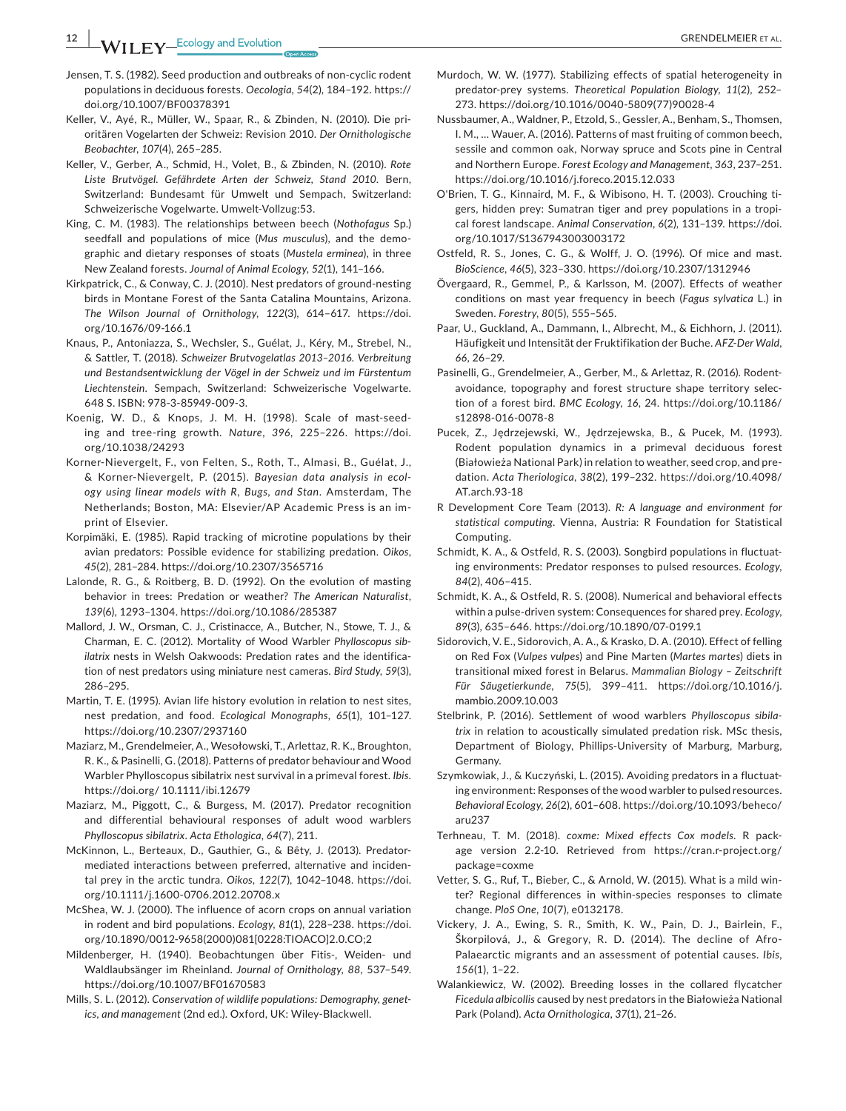**11 FY** Ecology and Evolution *COLOGY CONSIDER ET AL.* 

- Jensen, T. S. (1982). Seed production and outbreaks of non‐cyclic rodent populations in deciduous forests. *Oecologia*, *54*(2), 184–192. [https://](https://doi.org/10.1007/BF00378391) [doi.org/10.1007/BF00378391](https://doi.org/10.1007/BF00378391)
- Keller, V., Ayé, R., Müller, W., Spaar, R., & Zbinden, N. (2010). Die pri‐ oritären Vogelarten der Schweiz: Revision 2010. *Der Ornithologische Beobachter*, *107*(4), 265–285.
- Keller, V., Gerber, A., Schmid, H., Volet, B., & Zbinden, N. (2010). *Rote Liste Brutvögel. Gefährdete Arten der Schweiz, Stand 2010*. Bern, Switzerland: Bundesamt für Umwelt und Sempach, Switzerland: Schweizerische Vogelwarte. Umwelt‐Vollzug:53.
- King, C. M. (1983). The relationships between beech (*Nothofagus* Sp.) seedfall and populations of mice (*Mus musculus*), and the demo‐ graphic and dietary responses of stoats (*Mustela erminea*), in three New Zealand forests. *Journal of Animal Ecology*, *52*(1), 141–166.
- Kirkpatrick, C., & Conway, C. J. (2010). Nest predators of ground‐nesting birds in Montane Forest of the Santa Catalina Mountains, Arizona. *The Wilson Journal of Ornithology*, *122*(3), 614–617. [https://doi.](https://doi.org/10.1676/09-166.1) [org/10.1676/09-166.1](https://doi.org/10.1676/09-166.1)
- Knaus, P., Antoniazza, S., Wechsler, S., Guélat, J., Kéry, M., Strebel, N., & Sattler, T. (2018). *Schweizer Brutvogelatlas 2013–2016. Verbreitung und Bestandsentwicklung der Vögel in der Schweiz und im Fürstentum Liechtenstein*. Sempach, Switzerland: Schweizerische Vogelwarte. 648 S. ISBN: 978‐3‐85949‐009‐3.
- Koenig, W. D., & Knops, J. M. H. (1998). Scale of mast-seeding and tree‐ring growth. *Nature*, *396*, 225–226. [https://doi.](https://doi.org/10.1038/24293) [org/10.1038/24293](https://doi.org/10.1038/24293)
- Korner‐Nievergelt, F., von Felten, S., Roth, T., Almasi, B., Guélat, J., & Korner‐Nievergelt, P. (2015). *Bayesian data analysis in ecol‐ ogy using linear models with R, Bugs, and Stan*. Amsterdam, The Netherlands; Boston, MA: Elsevier/AP Academic Press is an im‐ print of Elsevier.
- Korpimäki, E. (1985). Rapid tracking of microtine populations by their avian predators: Possible evidence for stabilizing predation. *Oikos*, *45*(2), 281–284. <https://doi.org/10.2307/3565716>
- Lalonde, R. G., & Roitberg, B. D. (1992). On the evolution of masting behavior in trees: Predation or weather? *The American Naturalist*, *139*(6), 1293–1304. <https://doi.org/10.1086/285387>
- Mallord, J. W., Orsman, C. J., Cristinacce, A., Butcher, N., Stowe, T. J., & Charman, E. C. (2012). Mortality of Wood Warbler *Phylloscopus sib‐ ilatrix* nests in Welsh Oakwoods: Predation rates and the identifica‐ tion of nest predators using miniature nest cameras. *Bird Study*, *59*(3), 286–295.
- Martin, T. E. (1995). Avian life history evolution in relation to nest sites, nest predation, and food. *Ecological Monographs*, *65*(1), 101–127. <https://doi.org/10.2307/2937160>
- Maziarz, M., Grendelmeier, A., Wesołowski, T., Arlettaz, R. K., Broughton, R. K., & Pasinelli, G. (2018). Patterns of predator behaviour and Wood Warbler Phylloscopus sibilatrix nest survival in a primeval forest. *Ibis*. https://doi.org/ [10.1111/ibi.12679](https://doi.org/10.1111/ibi.12679)
- Maziarz, M., Piggott, C., & Burgess, M. (2017). Predator recognition and differential behavioural responses of adult wood warblers *Phylloscopus sibilatrix*. *Acta Ethologica*, *64*(7), 211.
- McKinnon, L., Berteaux, D., Gauthier, G., & Bêty, J. (2013). Predator‐ mediated interactions between preferred, alternative and inciden‐ tal prey in the arctic tundra. *Oikos*, *122*(7), 1042–1048. [https://doi.](https://doi.org/10.1111/j.1600-0706.2012.20708.x) [org/10.1111/j.1600-0706.2012.20708.x](https://doi.org/10.1111/j.1600-0706.2012.20708.x)
- McShea, W. J. (2000). The influence of acorn crops on annual variation in rodent and bird populations. *Ecology*, *81*(1), 228–238. [https://doi.](https://doi.org/10.1890/0012-9658(2000)081[0228:TIOACO]2.0.CO;2) [org/10.1890/0012-9658\(2000\)081\[0228:TIOACO\]2.0.CO;2](https://doi.org/10.1890/0012-9658(2000)081[0228:TIOACO]2.0.CO;2)
- Mildenberger, H. (1940). Beobachtungen über Fitis‐, Weiden‐ und Waldlaubsänger im Rheinland. *Journal of Ornithology*, *88*, 537–549. <https://doi.org/10.1007/BF01670583>
- Mills, S. L. (2012). *Conservation of wildlife populations: Demography, genet‐ ics, and management* (2nd ed.). Oxford, UK: Wiley‐Blackwell.
- Murdoch, W. W. (1977). Stabilizing effects of spatial heterogeneity in predator‐prey systems. *Theoretical Population Biology*, *11*(2), 252– 273. [https://doi.org/10.1016/0040-5809\(77\)90028-4](https://doi.org/10.1016/0040-5809(77)90028-4)
- Nussbaumer, A., Waldner, P., Etzold, S., Gessler, A., Benham, S., Thomsen, I. M., … Wauer, A. (2016). Patterns of mast fruiting of common beech, sessile and common oak, Norway spruce and Scots pine in Central and Northern Europe. *Forest Ecology and Management*, *363*, 237–251. <https://doi.org/10.1016/j.foreco.2015.12.033>
- O'Brien, T. G., Kinnaird, M. F., & Wibisono, H. T. (2003). Crouching ti‐ gers, hidden prey: Sumatran tiger and prey populations in a tropi‐ cal forest landscape. *Animal Conservation*, *6*(2), 131–139. [https://doi.](https://doi.org/10.1017/S1367943003003172) [org/10.1017/S1367943003003172](https://doi.org/10.1017/S1367943003003172)
- Ostfeld, R. S., Jones, C. G., & Wolff, J. O. (1996). Of mice and mast. *BioScience*, *46*(5), 323–330. <https://doi.org/10.2307/1312946>
- Övergaard, R., Gemmel, P., & Karlsson, M. (2007). Effects of weather conditions on mast year frequency in beech (*Fagus sylvatica* L.) in Sweden. *Forestry*, *80*(5), 555–565.
- Paar, U., Guckland, A., Dammann, I., Albrecht, M., & Eichhorn, J. (2011). Häufigkeit und Intensität der Fruktifikation der Buche. *AFZ‐Der Wald*, *66*, 26–29.
- Pasinelli, G., Grendelmeier, A., Gerber, M., & Arlettaz, R. (2016). Rodent‐ avoidance, topography and forest structure shape territory selec‐ tion of a forest bird. *BMC Ecology*, *16*, 24. [https://doi.org/10.1186/](https://doi.org/10.1186/s12898-016-0078-8) [s12898-016-0078-8](https://doi.org/10.1186/s12898-016-0078-8)
- Pucek, Z., Jȩdrzejewski, W., Jȩdrzejewska, B., & Pucek, M. (1993). Rodent population dynamics in a primeval deciduous forest (Białowieża National Park) in relation to weather, seed crop, and pre‐ dation. *Acta Theriologica*, *38*(2), 199–232. [https://doi.org/10.4098/](https://doi.org/10.4098/AT.arch.93-18) [AT.arch.93-18](https://doi.org/10.4098/AT.arch.93-18)
- R Development Core Team (2013). *R: A language and environment for statistical computing*. Vienna, Austria: R Foundation for Statistical Computing.
- Schmidt, K. A., & Ostfeld, R. S. (2003). Songbird populations in fluctuat‐ ing environments: Predator responses to pulsed resources. *Ecology*, *84*(2), 406–415.
- Schmidt, K. A., & Ostfeld, R. S. (2008). Numerical and behavioral effects within a pulse‐driven system: Consequences for shared prey. *Ecology*, *89*(3), 635–646. <https://doi.org/10.1890/07-0199.1>
- Sidorovich, V. E., Sidorovich, A. A., & Krasko, D. A. (2010). Effect of felling on Red Fox (*Vulpes vulpes*) and Pine Marten (*Martes martes*) diets in transitional mixed forest in Belarus. *Mammalian Biology – Zeitschrift Für Säugetierkunde*, *75*(5), 399–411. [https://doi.org/10.1016/j.](https://doi.org/10.1016/j.mambio.2009.10.003) [mambio.2009.10.003](https://doi.org/10.1016/j.mambio.2009.10.003)
- Stelbrink, P. (2016). Settlement of wood warblers *Phylloscopus sibila‐ trix* in relation to acoustically simulated predation risk. MSc thesis, Department of Biology, Phillips‐University of Marburg, Marburg, Germany.
- Szymkowiak, J., & Kuczyński, L. (2015). Avoiding predators in a fluctuat‐ ing environment: Responses of the wood warbler to pulsed resources. *Behavioral Ecology*, *26*(2), 601–608. [https://doi.org/10.1093/beheco/](https://doi.org/10.1093/beheco/aru237) [aru237](https://doi.org/10.1093/beheco/aru237)
- Terhneau, T. M. (2018). *coxme: Mixed effects Cox models*. R pack‐ age version 2.2‐10. Retrieved from [https://cran.r-project.org/](https://cran.r-project.org/package=coxme) [package=coxme](https://cran.r-project.org/package=coxme)
- Vetter, S. G., Ruf, T., Bieber, C., & Arnold, W. (2015). What is a mild win‐ ter? Regional differences in within‐species responses to climate change. *PloS One*, *10*(7), e0132178.
- Vickery, J. A., Ewing, S. R., Smith, K. W., Pain, D. J., Bairlein, F., Škorpilová, J., & Gregory, R. D. (2014). The decline of Afro-Palaearctic migrants and an assessment of potential causes. *Ibis*, *156*(1), 1–22.
- Walankiewicz, W. (2002). Breeding losses in the collared flycatcher *Ficedula albicollis c*aused by nest predators in the Białowieża National Park (Poland). *Acta Ornithologica*, *37*(1), 21–26.